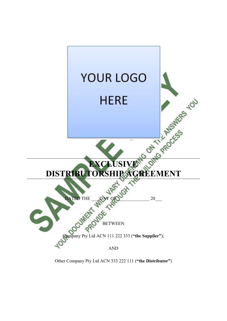

Other Company Pty Ltd ACN 333 222 111 (**"the Distributor"**)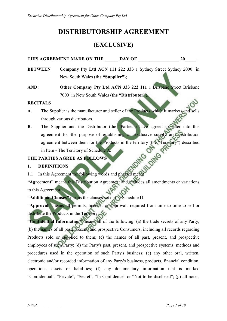## **DISTRIBUTORSHIP AGREEMENT**

## **(EXCLUSIVE)**

### THIS AGREEMENT MADE ON THE **DAY OF 20**

- **BETWEEN Company Pty Ltd ACN 111 222 333** 1 Sydney Street Sydney 2000 in New South Wales (**the "Supplier"**);
- **AND: Other Company Pty Ltd ACN 333 222 111** 1 Brisbane Street Brisbane 7000 in New South Wales **(the "Distributor"**).

### **RECITALS**

- A. The Supplier is the manufacturer and seller of the Products which it markets and through various distributors.
- **B.** The Supplier and the Distributor (the "Parties") have agreed to enter into this agreement for the purpose of establishing an exclusive supply and distribution agreement between them for the Products in the territory (the "Territory") described<br>in Item - The Territory of Schedule A.<br>ARTIES AGREE AS FOLLOWS<br>DEFINITIONS<br>n this Agreement the following in Item - The Territory of Schedule A.

### **THE PARTIES AGREE AS FOLLOWS**

### **1. DEFINITIONS**

1.1 In this Agreement the following words and phrases mean:

**"Agreement"** means this Distribution Agreement and includes all amendments or variations to this Agreement.

**"Additional Clauses"** means the clauses set out in Schedule D.

**"Approval"** means all permits, licences or approvals required from time to time to sell or distribute the Products in the Territory.

**"Confidential Information"** means all of the following: (a) the trade secrets of any Party; (b) the names of all past, present, and prospective Consumers, including all records regarding Products sold or supplied to them; (c) the names of all past, present, and prospective employees of such Party; (d) the Party's past, present, and prospective systems, methods and procedures used in the operation of such Party's business; (e) any other oral, written, electronic and/or recorded information of any Party's business, products, financial condition, operations, assets or liabilities; (f) any documentary information that is marked "Confidential", "Private", "Secret", "In Confidence" or "Not to be disclosed"; (g) all notes,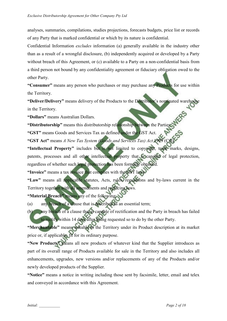analyses, summaries, compilations, studies projections, forecasts budgets, price list or records of any Party that is marked confidential or which by its nature is confidential.

Confidential Information *excludes* information (a) generally available in the industry other than as a result of a wrongful disclosure, (b) independently acquired or developed by a Party without breach of this Agreement, or (c) available to a Party on a non-confidential basis from a third person not bound by any confidentiality agreement or fiduciary obligation owed to the other Party.

**"Consumer"** means any person who purchases or may purchase any Products for use within the Territory.

**"Deliver/Delivery"** means delivery of the Products to the Distributor's nominated warehouse in the Territory.

**"Dollars"** means Australian Dollars.

**"Distributorship"** means this distributorship relationship between the Parties.

**"GST"** means Goods and Services Tax as defined under the GST Act.

"GST Act" means *A New Tax System (Goods and Services Tax) Act 1999* 

**"Intellectual Property"** includes but is not limited to copyright, trade marks, designs, patents, processes and all other intellectual property that is capable of legal protection, regardless of whether such legal protection has been formally obtained.

**"Invoice"** means a tax invoice that complies with the GST laws.

**"Law"** means all applicable statutes, Acts, rules, regulations and by-laws current in the Territory together with all amendments and replacing laws.

**"Material Breach"** means any of the following:

(a) any breach of a clause that is described as an essential term;

(b) any breach of a clause that is capable of rectification and the Party in breach has failed to rectify within 14 days after being requested so to do by the other Party.

**"Merchantable"** means saleable in the Territory under its Product description at its market price or, if applicable, fit for its ordinary purpose.

**"New Products"** means all new products of whatever kind that the Supplier introduces as part of its overall range of Products available for sale in the Territory and also includes all enhancements, upgrades, new versions and/or replacements of any of the Products and/or newly developed products of the Supplier.

**"Notice"** means a notice in writing including those sent by facsimile, letter, email and telex and conveyed in accordance with this Agreement.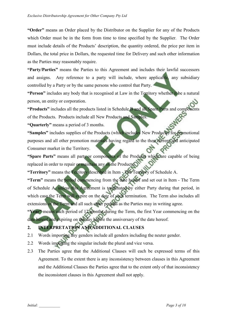**"Order"** means an Order placed by the Distributor on the Supplier for any of the Products which Order must be in the form from time to time specified by the Supplier. The Order must include details of the Products' description, the quantity ordered, the price per item in Dollars, the total price in Dollars, the requested time for Delivery and such other information as the Parties may reasonably require.

**"Party/Parties"** means the Parties to this Agreement and includes their lawful successors and assigns. Any reference to a party will include, where applicable, any subsidiary controlled by a Party or by the same persons who control that Party.

**"Person"** includes any body that is recognised at Law in the Territory whether it be a natural person, an entity or corporation.

**"Products"** includes all the products listed in Schedule B and all Spare Parts and components of the Products. Products include all New Products and Samples.

**"Quarterly"** means a period of 3 months.

**"Samples"** includes supplies of the Products (which includes New Products) for promotional purposes and all other promotion materials having regard to the then current and anticipated Consumer market in the Territory.

**"Spare Parts"** means all parts or components of the Products which are capable of being replaced in order to repair or maintain any of the Products.

**"Territory"** means the Territory described in Item - The Territory of Schedule A.

**"Term"** means the period commencing from the date hereof and set out in Item - The Term of Schedule A, unless this Agreement is terminated by either Party during that period, in which case the Term will expire on the date of such termination. The Term also includes all extensions of the Term and all such other periods as the Parties may in writing agree.

**"Year"** means each period of 12 months during the Term, the first Year commencing on the date hereof and expiring on the day before the anniversary of the date hereof.

## **2. INTERPRETATION AND ADDITIONAL CLAUSES**

- 2.1 Words importing any genders include all genders including the neuter gender.
- 2.2 Words importing the singular include the plural and vice versa.
- 2.3 The Parties agree that the Additional Clauses will each be expressed terms of this Agreement. To the extent there is any inconsistency between clauses in this Agreement and the Additional Clauses the Parties agree that to the extent only of that inconsistency the inconsistent clauses in this Agreement shall not apply.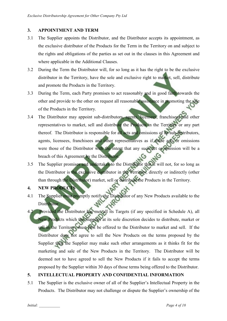### **3. APPOINTMENT AND TERM**

- 3.1 The Supplier appoints the Distributor, and the Distributor accepts its appointment, as the exclusive distributor of the Products for the Term in the Territory on and subject to the rights and obligations of the parties as set out in the clauses in this Agreement and where applicable in the Additional Clauses.
- 3.2 During the Term the Distributor will, for so long as it has the right to be the exclusive distributor in the Territory, have the sole and exclusive right to market, sell, distribute and promote the Products in the Territory.
- 3.3 During the Term, each Party promises to act reasonably and in good faith towards the other and provide to the other on request all reasonable assistance in promoting the sale of the Products in the Territory.
- 3.4 The Distributor may appoint sub-distributors, agents, licensees, franchisees and other representatives to market, sell and distribute the Products in the Territory or any part thereof. The Distributor is responsible for all acts and omissions of its sub-distributors, agents, licensees, franchisees and other representatives as if those acts or omissions were those of the Distributor with the intent that any such act or omission will be a breach of this Agreement by the Distributor.
- 3.5 The Supplier promises and undertakes to the Distributor that it will not, for so long as the Distributor is the exclusive distributor in the Territory, directly or indirectly (other than through the Distributor) market, sell or distribute the Products in the Territory.
- **4. NEW PRODUCTS**
- 4.1 The Supplier must promptly notify the Distributor of any New Products available to the Distributor.
- 4.2 Provided the Distributor has met all its Targets (if any specified in Schedule A), all New Products which the Supplier at its sole discretion decides to distribute, market or sell in the Territory, must first be offered to the Distributor to market and sell. If the Distributor does not agree to sell the New Products on the terms proposed by the Supplier then the Supplier may make such other arrangements as it thinks fit for the marketing and sale of the New Products in the Territory. The Distributor will be deemed not to have agreed to sell the New Products if it fails to accept the terms proposed by the Supplier within 30 days of those terms being offered to the Distributor.

### **5. INTELLECTUAL PROPERTY AND CONFIDENTIAL INFORMATION**

5.1 The Supplier is the exclusive owner of all of the Supplier's Intellectual Property in the Products. The Distributor may not challenge or dispute the Supplier's ownership of the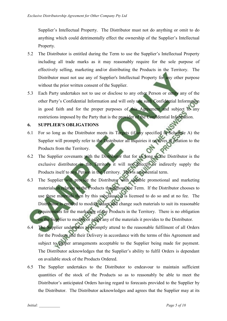Supplier's Intellectual Property. The Distributor must not do anything or omit to do anything which could detrimentally effect the ownership of the Supplier's Intellectual Property.

- 5.2 The Distributor is entitled during the Term to use the Supplier's Intellectual Property including all trade marks as it may reasonably require for the sole purpose of effectively selling, marketing and/or distributing the Products in the Territory. The Distributor must not use any of Supplier's Intellectual Property for any other purpose without the prior written consent of the Supplier.
- 5.3 Each Party undertakes not to use or disclose to any other Person or entity any of the other Party's Confidential Information and will only use such Confidential Information in good faith and for the proper purposes of this Agreement and subject to any restrictions imposed by the Party that is the provider of the Confidential Information.

### **6. SUPPLIER'S OBLIGATIONS**

- 6.1 For so long as the Distributor meets its Targets (if any specified in Schedule A) the Supplier will promptly refer to the Distributor all inquiries it receives in relation to the Products from the Territory.
- 6.2 The Supplier covenants with the Distributor that for so long as the Distributor is the exclusive distributor in the Territory it will not directly or indirectly supply the Products itself to any Person in the Territory. This is an essential term.
- 6.3 The Supplier will provide the Distributor with suitable promotional and marketing materials in relation to the Products throughout the Term. If the Distributor chooses to use these materials then by this subclause, it is licensed to do so and at no fee. The Distributor is entitled to modify, adapt and change such materials to suit its reasonable requirements for the marketing of the Products in the Territory. There is no obligation on the Supplier to modify or adapt any of the materials it provides to the Distributor.
- 6.4 The Supplier undertakes to promptly attend to the reasonable fulfilment of all Orders for the Products and their Delivery in accordance with the terms of this Agreement and subject to proper arrangements acceptable to the Supplier being made for payment. The Distributor acknowledges that the Supplier's ability to fulfil Orders is dependant on available stock of the Products Ordered.
- 6.5 The Supplier undertakes to the Distributor to endeavour to maintain sufficient quantities of the stock of the Products so as to reasonably be able to meet the Distributor's anticipated Orders having regard to forecasts provided to the Supplier by the Distributor. The Distributor acknowledges and agrees that the Supplier may at its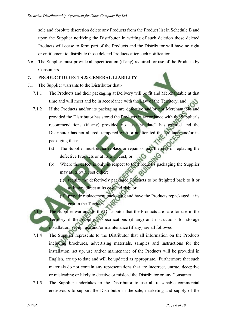sole and absolute discretion delete any Products from the Product list in Schedule B and upon the Supplier notifying the Distributor in writing of such deletion those deleted Products will cease to form part of the Products and the Distributor will have no right or entitlement to distribute those deleted Products after such notification.

6.6 The Supplier must provide all specification (if any) required for use of the Products by **Consumers** 

### **7. PRODUCT DEFECTS & GENERAL LIABILITY**

- 7.1 The Supplier warrants to the Distributor that:-
	- 7.1.1 The Products and their packaging at Delivery will be fit and Merchantable at that time and will meet and be in accordance with the Law of the Territory; and
	- 7.1.2 If the Products and/or its packaging are defective and/or not Merchantable and provided the Distributor has stored the Products in accordance with the Supplier's recommendations (if any) provided no "use by date" has expired and the Distributor has not altered, tampered with or adulterated the Products and/or its packaging then:
		- (a) The Supplier must either replace or repair or pay the cost of replacing the defective Products or at its own cost; or
		- (b) Where the defect is only in respect to the Product's packaging the Supplier may at its own cost either:

(i) require the defectively packaged Products to be freighted back to it or as it may direct at its cost and risk; or

(ii) provide replacement packaging and have the Products repackaged at its cost in the Territory.

- The Supplier warrants to the Distributor that the Products are safe for use in the Territory if the Supplier's specifications (if any) and instructions for storage installation, set up, use and/or maintenance (if any) are all followed.
- 7.1.4 The Supplier represents to the Distributor that all information on the Products including brochures, advertising materials, samples and instructions for the installation, set up, use and/or maintenance of the Products will be provided in English, are up to date and will be updated as appropriate. Furthermore that such materials do not contain any representations that are incorrect, untrue, deceptive or misleading or likely to deceive or mislead the Distributor or any Consumer.
- 7.1.5 The Supplier undertakes to the Distributor to use all reasonable commercial endeavours to support the Distributor in the sale, marketing and supply of the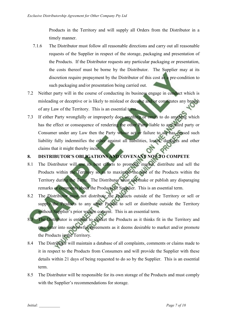Products in the Territory and will supply all Orders from the Distributor in a timely manner.

- 7.1.6 The Distributor must follow all reasonable directions and carry out all reasonable requests of the Supplier in respect of the storage, packaging and presentation of the Products. If the Distributor requests any particular packaging or presentation, the costs thereof must be borne by the Distributor. The Supplier may at its discretion require prepayment by the Distributor of this cost as a pre-condition to such packaging and/or presentation being carried out.
- 7.2 Neither party will in the course of conducting its business engage in conduct which is misleading or deceptive or is likely to mislead or deceive and/or constitutes any breach of any Law of the Territory. This is an essential term.
- 7.3 If either Party wrongfully or improperly does anything or omits to do anything which has the effect or consequence of rendering the other Party liable to any third party or Consumer under any Law then the Party whose act or failure to act has caused such liability fully indemnifies the other against all liabilities, losses, damages and other claims that it might thereby incur.

## **8. DISTRIBUTOR'S OBLIGATIONS AND COVENANT NOT TO COMPETE**

- 8.1 The Distributor will use its best efforts to promote, market, distribute and sell the Products within the Territory so as to maximise the sale of the Products within the Territory during the Term. The Distributor must not make or publish any disparaging remarks or comments about the Products or Supplier. This is an essential term.
- 8.2 The Distributor must not distribute the Products outside of the Territory or sell or supply the Products to any other Person to sell or distribute outside the Territory without Supplier's prior written consent. This is an essential term.
- The Distributor is entitled to market the Products as it thinks fit in the Territory and may enter into such lawful agreements as it deems desirable to market and/or promote the Products in the Territory.
- 8.4 The Distributor will maintain a database of all complaints, comments or claims made to it in respect to the Products from Consumers and will provide the Supplier with these details within 21 days of being requested to do so by the Supplier. This is an essential term.
- 8.5 The Distributor will be responsible for its own storage of the Products and must comply with the Supplier's recommendations for storage.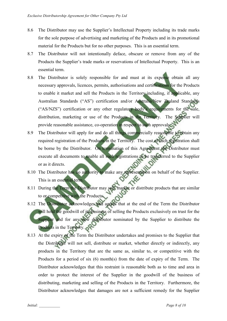- 8.6 The Distributor may use the Supplier's Intellectual Property including its trade marks for the sole purpose of advertising and marketing of the Products and in its promotional material for the Products but for no other purposes. This is an essential term.
- 8.7 The Distributor will not intentionally deface, obscure or remove from any of the Products the Supplier's trade marks or reservations of Intellectual Property. This is an essential term.
- 8.8 The Distributor is solely responsible for and must at its expense obtain all any necessary approvals, licences, permits, authorisations and certifications for the Products to enable it market and sell the Products in the Territory including, if applicable, any Australian Standards ("AS") certification and/or Australia/New Zealand Standards ("AS/NZS") certification or any other regulatory body's requirements for the sale, distribution, marketing or use of the Products in the Territory. The Supplier will provide reasonable assistance, co-operation in respect to such approvals.
- 8.9 The Distributor will apply for and do all things commercially reasonable to obtain any required registration of the Products in the Territory. The cost of such registration shall be borne by the Distributor. On termination of this Agreement the Distributor must execute all documents to enable all such registrations to be transferred to the Supplier or as it directs.
- 8.10 The Distributor has no authority to make any representation on behalf of the Supplier. This is an essential term.
- 8.11 During the Term the Distributor may sell, market or distribute products that are similar to or competitive with the Products.
- 8.12 The Distributor acknowledges and agrees that at the end of the Term the Distributor will hold the goodwill of its business of selling the Products exclusively on trust for the Supplier and for any new distributor nominated by the Supplier to distribute the Products in the Territory.
- 8.13 At the expiry of the Term the Distributor undertakes and promises to the Supplier that the Distributor will not sell, distribute or market, whether directly or indirectly, any products in the Territory that are the same as, similar to, or competitive with the Products for a period of six (6) month(s) from the date of expiry of the Term. The Distributor acknowledges that this restraint is reasonable both as to time and area in order to protect the interest of the Supplier in the goodwill of the business of distributing, marketing and selling of the Products in the Territory. Furthermore, the Distributor acknowledges that damages are not a sufficient remedy for the Supplier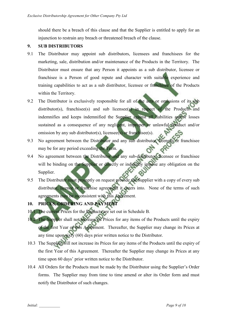should there be a breach of this clause and that the Supplier is entitled to apply for an injunction to restrain any breach or threatened breach of the clause.

### **9. SUB DISTRIBUTORS**

- 9.1 The Distributor may appoint sub distributors, licensees and franchisees for the marketing, sale, distribution and/or maintenance of the Products in the Territory. The Distributor must ensure that any Person it appoints as a sub distributor, licensee or franchisee is a Person of good repute and character with suitable experience and training capabilities to act as a sub distributor, licensee or franchisee of the Products within the Territory.
- 9.2 The Distributor is exclusively responsible for all of the acts or omissions of its sub distributor(s), franchisee(s) and sub licensee(s) in respect of the Products and indemnifies and keeps indemnified the Supplier against all liabilities and/or losses sustained as a consequence of any negligent, improper or unlawful conduct and/or omission by any sub distributor(s), licensee(s) or franchisee(s).
- 9.3 No agreement between the Distributor and any sub distributor, licensee or franchisee may be for any period exceeding the Term.
- 9.4 No agreement between the Distributor and any sub-distributor, licensee or franchisee will be binding on the Supplier or directly or indirectly impose any obligation on the Supplier.
- 9.5 The Distributor must promptly on request provide the Supplier with a copy of every sub distributor, licence or franchise agreement it enters into. None of the terms of such agreements may be inconsistent with this Agreement.

## **10. PRICES, ORDERING AND PAYMENT**

- 10.1 The current Prices for the Products are set out in Schedule B.
- 10.2 The Supplier shall not increase its Prices for any items of the Products until the expiry of the first Year of this Agreement. Thereafter, the Supplier may change its Prices at any time upon sixty (60) days prior written notice to the Distributor.
- 10.3 The Supplier will not increase its Prices for any items of the Products until the expiry of the first Year of this Agreement. Thereafter the Supplier may change its Prices at any time upon 60 days' prior written notice to the Distributor.
- 10.4 All Orders for the Products must be made by the Distributor using the Supplier's Order forms. The Supplier may from time to time amend or alter its Order form and must notify the Distributor of such changes.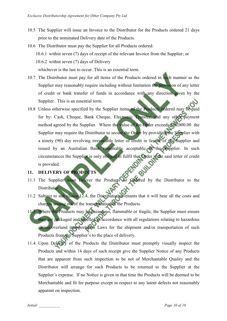- 10.5 The Supplier will issue an Invoice to the Distributor for the Products ordered 21 days prior to the nominated Delivery date of the Products.
- 10.6 The Distributor must pay the Supplier for all Products ordered: 10.6.1 within seven (7) days of receipt of the relevant Invoice from the Supplier; or 10.6.2 within seven (7) days of Delivery whichever is the last to occur. This is an essential term.
- 10.7 The Distributor must pay for all items of the Products ordered in such manner as the Supplier may reasonably require including without limitation the provision of any letter of credit or bank transfer of funds in accordance with any direction given by the Supplier. This is an essential term.
- 10.8 Unless otherwise specified by the Supplier items of the Products ordered may be paid for by: Cash, Cheque, Bank Cheque, Electronic Transfer, and any other payment method agreed by the Supplier. Where the value of the Order exceeds \$10,000.00 the Supplier may require the Distributor to secure the Order by providing the Supplier with a ninety (90) day revolving irrevocable letter of credit in favour of the Supplier and issued by an Australian Bank reasonably acceptable to the Supplier. In such circumstances the Supplier is only obliged to fulfil that Order if the said letter of credit is provided.

### **11. DELIVERY OF PRODUCTS**

- 11.1 The Supplier must Deliver the Products so Ordered by the Distributor to the Distributor.
- 11.2 Subject to sub clause 12.4, the Distributor covenants that it will bear all the costs and charges arising out of the transportation of the Products.
- 11.3 Where the Products may be hazardous, flammable or fragile, the Supplier must ensure they are packaged and labelled in accordance with all regulations relating to hazardous air/sea/overland transportation Laws for the shipment and/or transportation of such Products from the Supplier's to the place of delivery.
- 11.4 Upon Delivery of the Products the Distributor must promptly visually inspect the Products and within 14 days of such receipt give the Supplier Notice of any Products that are apparent from such inspection to be not of Merchantable Quality and the Distributor will arrange for such Products to be returned to the Supplier at the Supplier's expense. If no Notice is given in that time the Products will be deemed to be Merchantable and fit for purpose except in respect to any latent defects not reasonably apparent on inspection.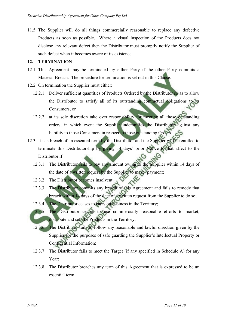11.5 The Supplier will do all things commercially reasonable to replace any defective Products as soon as possible. Where a visual inspection of the Products does not disclose any relevant defect then the Distributor must promptly notify the Supplier of such defect when it becomes aware of its existence.

#### **12. TERMINATION**

- 12.1 This Agreement may be terminated by either Party if the other Party commits a Material Breach. The procedure for termination is set out in this Clause.
- 12.2 On termination the Supplier must either:
	- 12.2.1 Deliver sufficient quantities of Products Ordered by the Distributor so as to allow the Distributor to satisfy all of its outstanding contractual obligations to its Consumers, or
	- 12.2.2 at its sole discretion take over responsibility for meeting all those outstanding orders, in which event the Supplier indemnifies the Distributor against any liability to those Consumers in respect to those outstanding Orders.
- 12.3 It is a breach of an essential term by the Distributor and the Supplier will be entitled to terminate this Distributorship by giving 14 days' prior Notice to that affect to the Distributor if ·
	- 12.3.1 The Distributor fails to pay any amount owing to the Supplier within 14 days of the date of a written request by the Supplier to make payment;
	- 12.3.2 The Distributor becomes insolvent;
	- 12.3.3 The Distributor commits any breach of this Agreement and fails to remedy that breach within 14 days of the date of a written request from the Supplier to do so;
	- 12.3.4 The Distributor ceases to carry on business in the Territory;
	- 12.3.5 The Distributor ceases to use commercially reasonable efforts to market, distribute and sell the Products in the Territory;
	- 12.3.6 The Distributor fails to follow any reasonable and lawful direction given by the Supplier for the purposes of safe guarding the Supplier's Intellectual Property or Confidential Information;
	- 12.3.7 The Distributor fails to meet the Target (if any specified in Schedule A) for any Year:
	- 12.3.8 The Distributor breaches any term of this Agreement that is expressed to be an essential term.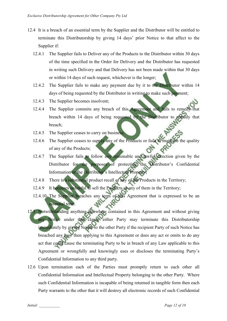- 12.4 It is a breach of an essential term by the Supplier and the Distributor will be entitled to terminate this Distributorship by giving 14 days' prior Notice to that affect to the Supplier if:
	- 12.4.1 The Supplier fails to Deliver any of the Products to the Distributor within 30 days of the time specified in the Order for Delivery and the Distributor has requested in writing such Delivery and that Delivery has not been made within that 30 days or within 14 days of such request, whichever is the longer;
	- 12.4.2 The Supplier fails to make any payment due by it to the Distributor within 14 days of being requested by the Distributor in writing to make such payment;
	- 12.4.3 The Supplier becomes insolvent;
	- 12.4.4 The Supplier commits any breach of this Agreement and fails to remedy that breach within 14 days of being requested by the Distributor to remedy that breach;
	- 12.4.5 The Supplier ceases to carry on business;
	- 12.4.6 The Supplier ceases to supply any of the Products or fails to maintain the quality of any of the Products;
	- 12.4.7 The Supplier fails to follow any reasonable and lawful direction given by the Distributor for the purposes of protecting the Distributor's Confidential Information or the Distributor's Intellectual Property;
	- 12.4.8 There is a substantial product recall of any of the Products in the Territory;
	- 12.4.9 It becomes unlawful to sell the Products or any of them in the Territory;
	- 12.4.10 The Supplier breaches any term of this Agreement that is expressed to be an essential term.
- 12.5 Notwithstanding anything elsewhere contained in this Agreement and without giving any Notice under this clause either Party may terminate this Distributorship immediately by giving Notice to the other Party if the recipient Party of such Notice has breached any Law then applying to this Agreement or does any act or omits to do any act that could cause the terminating Party to be in breach of any Law applicable to this Agreement or wrongfully and knowingly uses or discloses the terminating Party's Confidential Information to any third party.
- 12.6 Upon termination each of the Parties must promptly return to each other all Confidential Information and Intellectual Property belonging to the other Party. Where such Confidential Information is incapable of being returned in tangible form then each Party warrants to the other that it will destroy all electronic records of such Confidential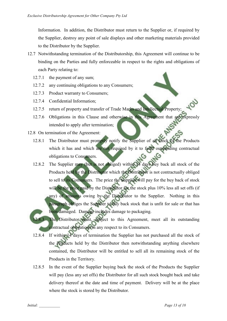Information. In addition, the Distributor must return to the Supplier or, if required by the Supplier, destroy any point of sale displays and other marketing materials provided to the Distributor by the Supplier.

- 12.7 Notwithstanding termination of the Distributorship, this Agreement will continue to be binding on the Parties and fully enforceable in respect to the rights and obligations of each Party relating to:
	- 12.7.1 the payment of any sum;
	- 12.7.2 any continuing obligations to any Consumers;
	- 12.7.3 Product warranty to Consumers;
	- 12.7.4 Confidential Information;
	- 12.7.5 return of property and transfer of Trade Marks and Intellectual Property;
	- 12.7.6 Obligations in this Clause and otherwise in this Agreement that are expressly intended to apply after termination;
- 12.8 On termination of the Agreement:
	- 12.8.1 The Distributor must promptly notify the Supplier of all stock of the Products which it has and which are not required by it to fulfil outstanding contractual obligations to Consumers.
	- 12.8.2 The Supplier may (but is not obliged) within 14 days buy back all stock of the Products held by the Distributor which the Distributor is not contractually obliged to sell to its Consumers. The price the Supplier will pay for the buy back of stock will be the price paid by the Distributor for the stock plus 10% less all set offs (if any) of amounts owing by the Distributor to the Supplier. Nothing in this paragraph obliges the Supplier to buy back stock that is unfit for sale or that has been damaged. Damage includes damage to packaging.
	- The Distributor must, subject to this Agreement, meet all its outstanding contractual obligations in any respect to its Consumers.
	- 12.8.4 If within 14 days of termination the Supplier has not purchased all the stock of the Products held by the Distributor then notwithstanding anything elsewhere contained, the Distributor will be entitled to sell all its remaining stock of the Products in the Territory.
	- 12.8.5 In the event of the Supplier buying back the stock of the Products the Supplier will pay (less any set offs) the Distributor for all such stock bought back and take delivery thereof at the date and time of payment. Delivery will be at the place where the stock is stored by the Distributor.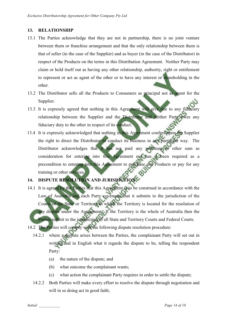### **13. RELATIONSHIP**

- 13.1 The Parties acknowledge that they are not in partnership, there is no joint venture between them or franchise arrangement and that the only relationship between them is that of seller (in the case of the Supplier) and as buyer (in the case of the Distributor) in respect of the Products on the terms in this Distribution Agreement. Neither Party may claim or hold itself out as having any other relationship, authority, right or entitlement to represent or act as agent of the other or to have any interest or shareholding in the other.
- 13.2 The Distributor sells all the Products to Consumers as principal not as agent for the Supplier.
- 13.3 It is expressly agreed that nothing in this Agreement will give rise to any fiduciary relationship between the Supplier and the Distributor and neither Party owes any fiduciary duty to the other in respect of its conduct.
- 13.4 It is expressly acknowledged that nothing in this Agreement confers upon the Supplier the right to direct the Distributor to conduct its business in any particular way. The Distributor acknowledges that it has not paid any premium or other sum as consideration for entering into this Agreement nor has it been required as a precondition to entering into this Agreement to purchase any Products or pay for any training or other services.

# 14. DISPUTE RESOLUTION AND JURISDICTION

- 14.1 It is agreed by the Parties that this Agreement is to be construed in accordance with the Law of Australia and each Party covenants that it submits to the jurisdiction of the Courts of the State or Territory in which the Territory is located for the resolution of any dispute under the Agreement. If the Territory is the whole of Australia then the Parties submit to the jurisdiction of all State and Territory Courts and Federal Courts. 14.2 The Parties will comply with the following dispute resolution procedure:
	- 14.2.1 where a dispute arises between the Parties, the complainant Party will set out in writing and in English what it regards the dispute to be, telling the respondent

Party:

- (a) the nature of the dispute; and
- (b) what outcome the complainant wants;
- (c) what action the complainant Party requires in order to settle the dispute;
- 14.2.2 Both Parties will make every effort to resolve the dispute through negotiation and will in so doing act in good faith;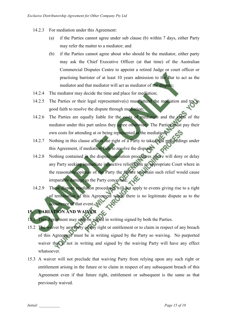- 14.2.3 For mediation under this Agreement:
	- (a) if the Parties cannot agree under sub clause (b) within 7 days, either Party may refer the matter to a mediator; and
	- (b) if the Parties cannot agree about who should be the mediator, either party may ask the Chief Executive Officer (at that time) of the Australian Commercial Disputes Centre to appoint a retired Judge or court officer or practising barrister of at least 10 years admission to the Bar to act as the mediator and that mediator will act as mediator of the dispute;
- 14.2.4 The mediator may decide the time and place for mediation;
- 14.2.5 The Parties or their legal representative(s) must attend the mediation and try in good faith to resolve the dispute through mediation;
- 14.2.6 The Parties are equally liable for the costs of mediation and the costs of the mediator under this part unless they agree otherwise. The Parties must pay their own costs for attending at or being represented at the mediation;
- 14.2.7 Nothing in this clause affects the right of a Party to take legal proceedings under this Agreement, if mediation fails to resolve the dispute;
- 14.2.8 Nothing contained in the dispute resolution procedures above will deny or delay any Party seeking immediate injunctive relief from an appropriate Court where in the reasonable opinion of the Party the failure to obtain such relief would cause irreparable damage to the Party concerned;
- 14.2.9 These dispute resolution procedures will not apply to events giving rise to a right of termination of this Agreement where there is no legitimate dispute as to the occurrence of that event.

## **15. VARIATION AND WAIVER**

- 15.1 This Agreement may only be varied in writing signed by both the Parties.
- 15.2 The waiver by any Party of any right or entitlement or to claim in respect of any breach of this Agreement must be in writing signed by the Party so waiving. No purported waiver that is not in writing and signed by the waiving Party will have any effect whatsoever.
- 15.3 A waiver will not preclude that waiving Party from relying upon any such right or entitlement arising in the future or to claim in respect of any subsequent breach of this Agreement even if that future right, entitlement or subsequent is the same as that previously waived.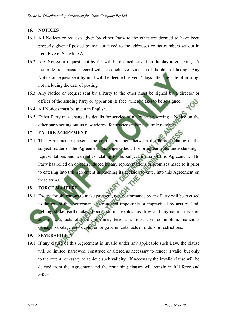### **16. NOTICES**

- 16.1 All Notices or requests given by either Party to the other are deemed to have been properly given if posted by mail or faxed to the addresses or fax numbers set out in Item Five of Schedule A.
- 16.2 Any Notice or request sent by fax will be deemed served on the day after faxing. A facsimile transmission record will be conclusive evidence of the date of faxing. Any Notice or request sent by mail will be deemed served 7 days after the date of posting, not including the date of posting.
- 16.3 Any Notice or request sent by a Party to the other must be signed by a director or officer of the sending Party or appear on its face (where a fax) to be so signed.
- 16.4 All Notices must be given in English.
- 16.5 Either Party may change its details for service of a Notice by serving a Notice on the other party setting out its new address for service and/or facsimile number.

### **17. ENTIRE AGREEMENT**

17.1 This Agreement represents the entire agreement between the Parties relating to the subject matter of the Agreement and supersedes all prior agreements, understandings, representations and warranties relating to the subject matter of this Agreement. No Party has relied on or been induced by any representations or promises made to it prior to entering into this agreement in reaching its decision to enter into this Agreement on these terms.

### **18. FORCE MAJEURE**

18.1 Except for obligations to make payment, non-performance by any Party will be excused to the extent that performance is rendered impossible or impractical by acts of God, lighting strike, earthquakes, floods, storms, explosions, fires and any natural disaster, acts of war, acts of public enemies, terrorism, riots, civil commotion, malicious damage, sabotage and revolution or governmental acts or orders or restrictions.

### **19. SEVERABILITY**

19.1 If any clause of this Agreement is invalid under any applicable such Law, the clause will be limited, narrowed, construed or altered as necessary to render it valid, but only to the extent necessary to achieve such validity. If necessary the invalid clause will be deleted from the Agreement and the remaining clauses will remain in full force and effect.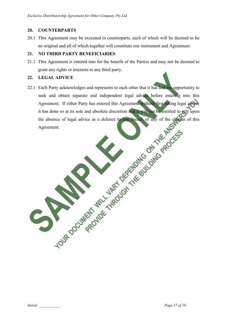### **20. COUNTERPARTS**

20.1 This Agreement may be executed in counterparts, each of which will be deemed to be an original and all of which together will constitute one instrument and Agreement.

### **21. NO THIRD PARTY BENEFICIARIES**

**LOUR DOCUMENT** 

21.1 This Agreement is entered into for the benefit of the Parties and may not be deemed to grant any rights or interests to any third party.

### **22. LEGAL ADVICE**

22.1 Each Party acknowledges and represents to each other that it has had the opportunity to seek and obtain separate and independent legal advice before entering into this Agreement. If either Party has entered this Agreement without first taking legal advice it has done so at its sole and absolute discretion and it will had be entitled to rely upon<br>the absence of legal advice as a defence to the change of any of the changes of this<br>Agreement. the absence of legal advice as a defence to any breach of any of the clauses of this Agreement.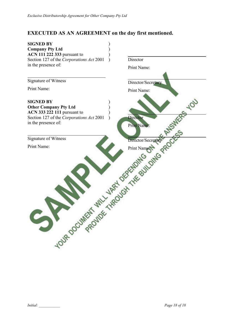## **EXECUTED AS AN AGREEMENT on the day first mentioned.**

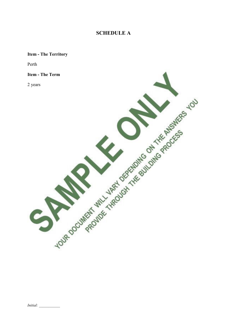## **SCHEDULE A**

## **Item - The Territory**

Perth

### **Item - The Term**